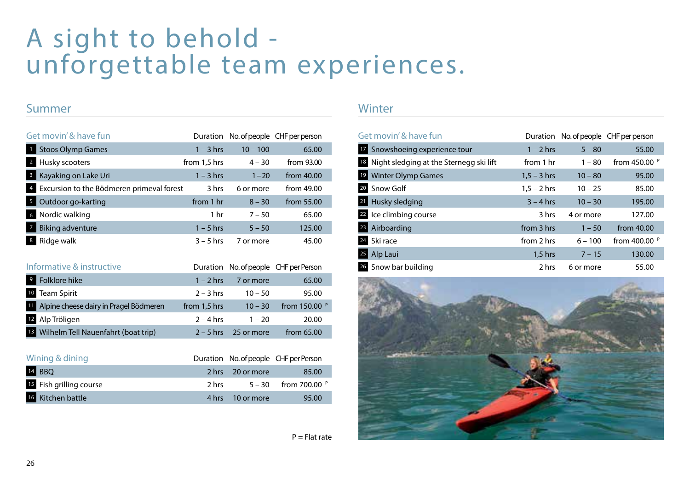# A sight to behold unforgettable team experiences.

#### Summer

| Get movin' & have fun                          |              |            | Duration No. of people CHF per person |
|------------------------------------------------|--------------|------------|---------------------------------------|
| <b>Stoos Olymp Games</b>                       | $1 - 3$ hrs  | $10 - 100$ | 65.00                                 |
| Husky scooters<br>$\overline{2}$               | from 1,5 hrs | $4 - 30$   | from 93.00                            |
| Kayaking on Lake Uri<br>3                      | $1 - 3$ hrs  | $1 - 20$   | from $40.00$                          |
| Excursion to the Bödmeren primeval forest<br>4 | 3 hrs        | 6 or more  | from 49.00                            |
| Outdoor go-karting<br>5                        | from 1 hr    | $8 - 30$   | from 55.00                            |
| Nordic walking<br>6                            | 1 hr         | $7 - 50$   | 65.00                                 |
| <b>Biking adventure</b>                        | $1 - 5$ hrs  | $5 - 50$   | 125.00                                |
| 8<br>Ridge walk                                | $3 - 5$ hrs  | 7 or more  | 45.00                                 |

| Informative & instructive                         |              |            | Duration No. of people CHF per Person |
|---------------------------------------------------|--------------|------------|---------------------------------------|
| 9<br>Folklore hike                                | $1 - 2$ hrs  | 7 or more  | 65.00                                 |
| 10 Team Spirit                                    | $2 - 3$ hrs  | $10 - 50$  | 95.00                                 |
| 11 Alpine cheese dairy in Pragel Bödmeren         | from 1,5 hrs | $10 - 30$  | from 150.00 P                         |
| 12<br>Alp Tröligen                                | $2 - 4$ hrs  | $1 - 20$   | 20.00                                 |
| <sup>13</sup> Wilhelm Tell Nauenfahrt (boat trip) | $2 - 5$ hrs  | 25 or more | from 65.00                            |

| Wining & dining         |       |                  | Duration No. of people CHF per Person |
|-------------------------|-------|------------------|---------------------------------------|
| 14 BBQ                  |       | 2 hrs 20 or more | 85.00                                 |
| 15 Fish grilling course | 2 hrs |                  | $5 - 30$ from 700.00 $P$              |
| 16 Kitchen battle       |       | 4 hrs 10 or more | 95.00                                 |

#### **Winter**

| Get movin' & have fun                      | Duration      |           | No. of people CHF per person |
|--------------------------------------------|---------------|-----------|------------------------------|
| 17 Snowshoeing experience tour             | $1 - 2$ hrs   | $5 - 80$  | 55.00                        |
| 18 Night sledging at the Sternegg ski lift | from 1 hr     | $1 - 80$  | from 450.00 P                |
| <sup>19</sup> Winter Olymp Games           | $1.5 - 3$ hrs | $10 - 80$ | 95.00                        |
| 20 Snow Golf                               | $1.5 - 2$ hrs | $10 - 25$ | 85.00                        |
| 21 Husky sledging                          | $3 - 4$ hrs   | $10 - 30$ | 195.00                       |
| 22 Ice climbing course                     | 3 hrs         | 4 or more | 127.00                       |
| 28 Airboarding                             | from 3 hrs    | $1 - 50$  | from 40.00                   |
| 24 Ski race                                | from 2 hrs    | $6 - 100$ | from 400.00 P                |
| 25 Alp Laui                                | $1,5$ hrs     | $7 - 15$  | 130.00                       |
| 26 Snow bar building                       | 2 hrs         | 6 or more | 55.00                        |



 $P = Flat$  rate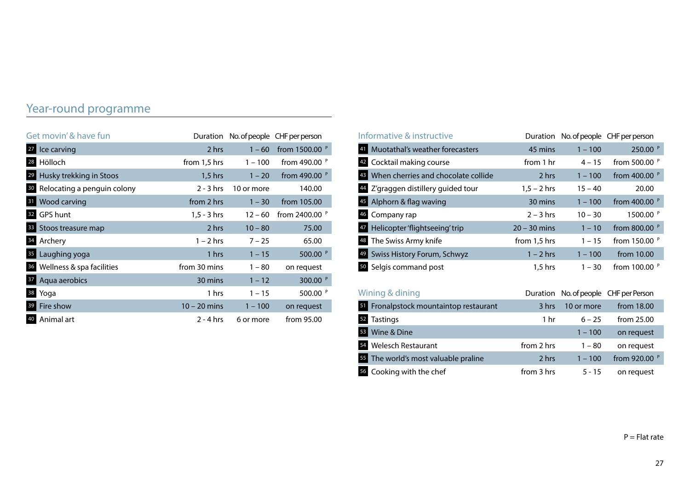### Year-round programme

| Get movin' & have fun          | Duration       |            | No. of people CHF per person |
|--------------------------------|----------------|------------|------------------------------|
| 27 Ice carving                 | 2 hrs          | $1 - 60$   | from 1500.00 P               |
| 28 Hölloch                     | from 1,5 hrs   | $1 - 100$  | from 490.00 P                |
| 29 Husky trekking in Stoos     | $1,5$ hrs      | $1 - 20$   | from 490.00 P                |
| 30 Relocating a penguin colony | $2 - 3$ hrs    | 10 or more | 140.00                       |
| <b>31</b> Wood carving         | from 2 hrs     | $1 - 30$   | from 105.00                  |
| 32 GPS hunt                    | $1, 5 - 3$ hrs | $12 - 60$  | from 2400.00 P               |
| <b>33</b> Stoos treasure map   | 2 hrs          | $10 - 80$  | 75.00                        |
| 34 Archery                     | $1 - 2$ hrs    | $7 - 25$   | 65.00                        |
| 35 Laughing yoga               | 1 hrs          | $1 - 15$   | 500.00 P                     |
| 36 Wellness & spa facilities   | from 30 mins   | $1 - 80$   | on request                   |
| <b>37</b> Aqua aerobics        | 30 mins        | $1 - 12$   | 300.00 P                     |
| 38 Yoga                        | 1 hrs          | $1 - 15$   | 500.00 P                     |
| 39 Fire show                   | $10 - 20$ mins | $1 - 100$  | on request                   |
| 40 Animal art                  | $2 - 4$ hrs    | 6 or more  | from 95.00                   |

| Informative & instructive                 | Duration        |               | No. of people CHF per person |
|-------------------------------------------|-----------------|---------------|------------------------------|
| Muotathal's weather forecasters           | 45 mins         | $1 - 100$     | 250.00 P                     |
| Cocktail making course                    | from 1 hr       | $4 - 15$      | from 500.00 P                |
| When cherries and chocolate collide       | 2 hrs           | $1 - 100$     | from 400.00 P                |
| Z'graggen distillery guided tour          | $1,5 - 2$ hrs   | $15 - 40$     | 20.00                        |
| Alphorn & flag waving                     | 30 mins         | $1 - 100$     | from 400.00 P                |
| Company rap<br>46                         | $2 - 3$ hrs     | $10 - 30$     | 1500.00 P                    |
| Helicopter 'flightseeing' trip            | $20 - 30$ mins  | $1 - 10$      | from 800.00 P                |
| The Swiss Army knife<br>48                | from 1,5 hrs    | $1 - 15$      | from 150.00 P                |
| Swiss History Forum, Schwyz               | $1 - 2$ hrs     | $1 - 100$     | from 10.00                   |
| 50 Selgis command post                    | 1,5 hrs         | $1 - 30$      | from 100.00 P                |
| Wining & dining                           | Duration        | No. of people | CHF per Person               |
| Fronalpstock mountaintop restaurant<br>51 | 3 hrs           | 10 or more    | from 18.00                   |
| <b>Tastings</b><br>52                     | 1 <sub>hr</sub> | $6 - 25$      | from 25.00                   |
| Wine & Dine<br>53                         |                 | $1 - 100$     | on request                   |
| <b>Welesch Restaurant</b><br>54           | from 2 hrs      | $1 - 80$      | on request                   |
| 55 The world's most valuable praline      | 2 hrs           | $1 - 100$     | from 920.00 P                |
| 56 Cooking with the chef                  | from 3 hrs      | $5 - 15$      | on request                   |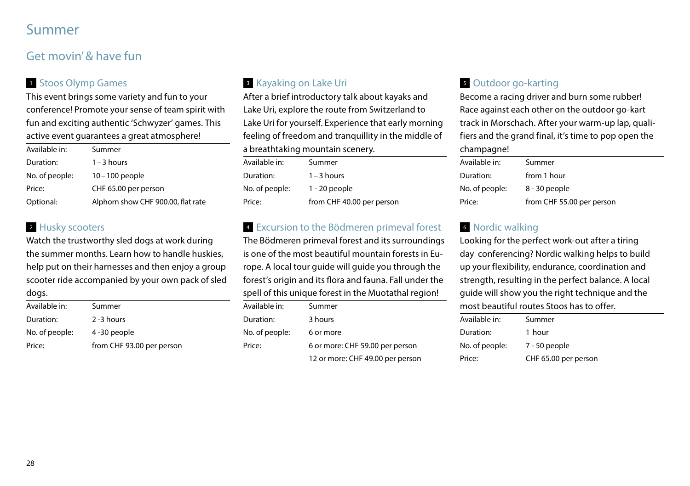## Summer

### Get movin' & have fun

### <sup>1</sup> Stoos Olymp Games

This event brings some variety and fun to your conference! Promote your sense of team spirit with fun and exciting authentic 'Schwyzer' games. This active event quarantees a great atmosphere!

| Available in:  | Summer                             |
|----------------|------------------------------------|
| Duration:      | $1 - 3$ hours                      |
| No. of people: | $10 - 100$ people                  |
| Price:         | CHF 65.00 per person               |
| Optional:      | Alphorn show CHF 900.00, flat rate |

#### 2 Husky scooters

Watch the trustworthy sled dogs at work during the summer months. Learn how to handle huskies, help put on their harnesses and then enjoy a group scooter ride accompanied by your own pack of sled dogs.

| Available in:  | Summer                    |
|----------------|---------------------------|
| Duration:      | $2 - 3$ hours             |
| No. of people: | 4-30 people               |
| Price:         | from CHF 93.00 per person |
|                |                           |

### <sup>3</sup> Kayaking on Lake Uri

After a brief introductory talk about kayaks and Lake Uri, explore the route from Switzerland to Lake Uri for yourself. Experience that early morning feeling of freedom and tranquillity in the middle of a breathtaking mountain scenery.

| Available in:  | Summer                    |
|----------------|---------------------------|
| Duration:      | $1 - 3$ hours             |
| No. of people: | $1 - 20$ people           |
| Price:         | from CHF 40.00 per person |

### <sup>4</sup> Excursion to the Bödmeren primeval forest

The Bödmeren primeval forest and its surroundings is one of the most beautiful mountain forests in Europe. A local tour guide will guide you through the forest's origin and its flora and fauna. Fall under the spell of this unique forest in the Muotathal region!

| Available in:  | Summer                           |
|----------------|----------------------------------|
| Duration:      | 3 hours                          |
| No. of people: | 6 or more                        |
| Price:         | 6 or more: CHF 59.00 per person  |
|                | 12 or more: CHF 49.00 per person |

### <sup>5</sup> Outdoor go-karting

Become a racing driver and burn some rubber! Race against each other on the outdoor go-kart track in Morschach. After your warm-up lap, qualifiers and the grand final, it's time to pop open the champagne!

| Summer                    |  |
|---------------------------|--|
| from 1 hour               |  |
| 8 - 30 people             |  |
| from CHF 55.00 per person |  |
|                           |  |

### <sup>6</sup> Nordic walking

Looking for the perfect work-out after a tiring day conferencing? Nordic walking helps to build up your flexibility, endurance, coordination and strength, resulting in the perfect balance. A local guide will show you the right technique and the most beautiful routes Stoos has to offer.

| Available in:  | Summer               |
|----------------|----------------------|
| Duration:      | 1 hour               |
| No. of people: | 7 - 50 people        |
| Price:         | CHF 65.00 per person |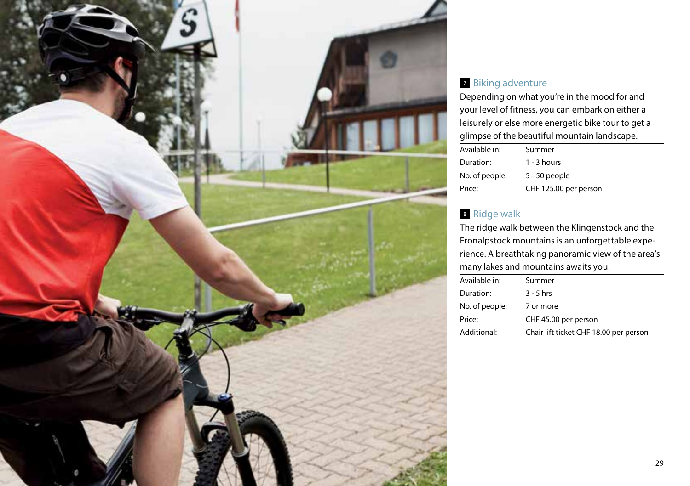

#### <sup>7</sup> Biking adventure

Depending on what you're in the mood for and your level of fitness, you can embark on either a leisurely or else more energetic bike tour to get a glimpse of the beautiful mountain landscape.

| Available in:  | Summer                |
|----------------|-----------------------|
| Duration:      | $1 - 3$ hours         |
| No. of people: | $5 - 50$ people       |
| Price:         | CHF 125.00 per person |

### <sup>8</sup> Ridge walk

The ridge walk between the Klingenstock and the Fronalpstock mountains is an unforgettable experience. A breathtaking panoramic view of the area's many lakes and mountains awaits you.

| Available in:  | Summer                                 |
|----------------|----------------------------------------|
| Duration:      | $3 - 5$ hrs                            |
| No. of people: | 7 or more                              |
| Price:         | CHF 45.00 per person                   |
| Additional:    | Chair lift ticket CHF 18.00 per person |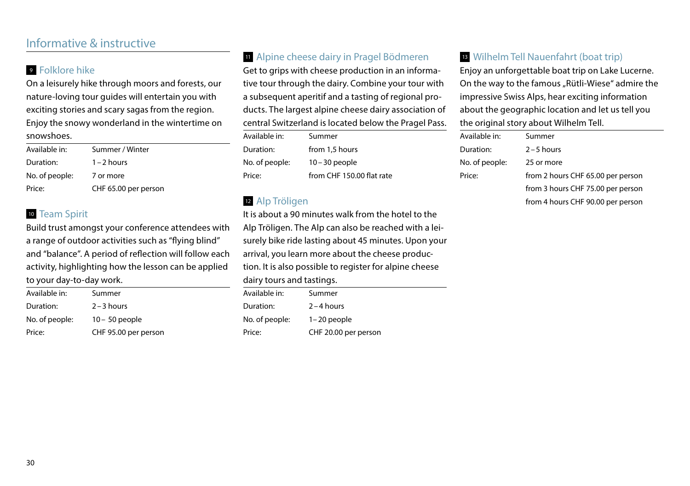### Informative & instructive

#### <sup>9</sup> Folklore hike

On a leisurely hike through moors and forests, our nature-loving tour guides will entertain you with exciting stories and scary sagas from the region. Enjoy the snowy wonderland in the wintertime on snowshoes.

| Available in:  | Summer / Winter      |
|----------------|----------------------|
| Duration:      | $1 - 2$ hours        |
| No. of people: | 7 or more            |
| Price:         | CHF 65.00 per person |

#### <sup>10</sup> Team Spirit

Build trust amongst your conference attendees with a range of outdoor activities such as "flying blind" and "balance". A period of reflection will follow each activity, highlighting how the lesson can be applied to your day-to-day work.

| Available in:  | Summer               |
|----------------|----------------------|
| Duration:      | $2 - 3$ hours        |
| No. of people: | $10 - 50$ people     |
| Price:         | CHF 95.00 per person |

#### <sup>11</sup> Alpine cheese dairy in Pragel Bödmeren

Get to grips with cheese production in an informative tour through the dairy. Combine your tour with a subsequent aperitif and a tasting of regional products. The largest alpine cheese dairy association of central Switzerland is located below the Pragel Pass.

| Available in:  | Summer                    |
|----------------|---------------------------|
| Duration:      | from 1,5 hours            |
| No. of people: | $10 - 30$ people          |
| Price:         | from CHF 150.00 flat rate |

#### <sup>12</sup> Alp Tröligen

It is about a 90 minutes walk from the hotel to the Alp Tröligen. The Alp can also be reached with a leisurely bike ride lasting about 45 minutes. Upon your arrival, you learn more about the cheese production. It is also possible to register for alpine cheese dairy tours and tastings.

| Available in:  | Summer               |
|----------------|----------------------|
| Duration:      | $2 - 4$ hours        |
| No. of people: | $1 - 20$ people      |
| Price:         | CHF 20.00 per person |

#### <sup>13</sup> Wilhelm Tell Nauenfahrt (boat trip)

Enjoy an unforgettable boat trip on Lake Lucerne. On the way to the famous "Rütli-Wiese" admire the impressive Swiss Alps, hear exciting information about the geographic location and let us tell you the original story about Wilhelm Tell.

| Available in:  | Summer                            |
|----------------|-----------------------------------|
| Duration:      | $2 - 5$ hours                     |
| No. of people: | 25 or more                        |
| Price:         | from 2 hours CHF 65.00 per person |
|                | from 3 hours CHF 75.00 per person |
|                | from 4 hours CHF 90.00 per person |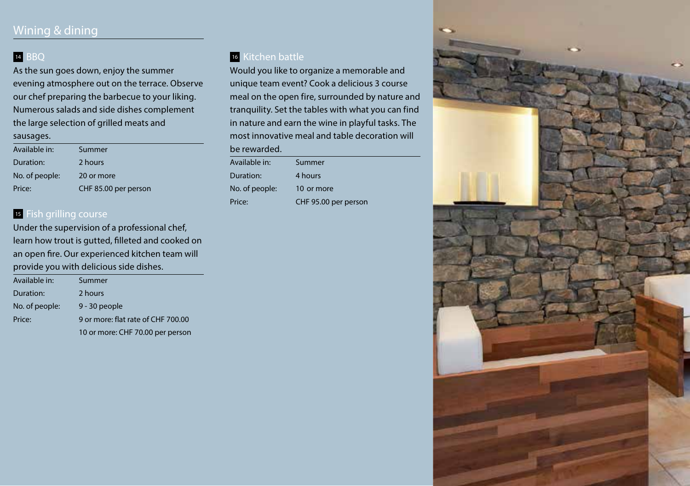#### 14 BBO

As the sun goes down, enjoy the summer evening atmosphere out on the terrace. Observe our chef preparing the barbecue to your liking. Numerous salads and side dishes complement the large selection of grilled meats and sausages.

| Available in:  | Summer               |
|----------------|----------------------|
| Duration:      | 2 hours              |
| No. of people: | 20 or more           |
| Price:         | CHF 85.00 per person |

#### **15 Fish grilling course**

Under the supervision of a professional chef, learn how trout is gutted, filleted and cooked on an open fire. Our experienced kitchen team will provide you with delicious side dishes.

| Available in:  | Summer                             |
|----------------|------------------------------------|
| Duration:      | 2 hours                            |
| No. of people: | 9 - 30 people                      |
| Price:         | 9 or more: flat rate of CHF 700.00 |
|                | 10 or more: CHF 70.00 per person   |

### <sup>16</sup> Kitchen battle

Would you like to organize a memorable and unique team event? Cook a delicious 3 course meal on the open fire, surrounded by nature and tranquility. Set the tables with what you can find in nature and earn the wine in playful tasks. The most innovative meal and table decoration will

erson

| be rewarded.  |  |
|---------------|--|
| Available in: |  |

| Duration:      | 4 hours         |
|----------------|-----------------|
| No. of people: | 10 or more      |
| Price:         | CHF 95.00 per r |

**Summer** 

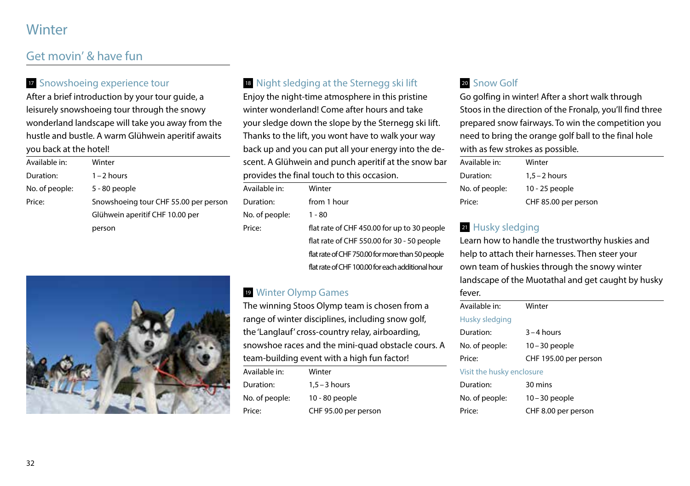## **Winter**

### Get movin' & have fun

#### **17** Snowshoeing experience tour

After a brief introduction by your tour guide, a leisurely snowshoeing tour through the snowy wonderland landscape will take you away from the hustle and bustle. A warm Glühwein aperitif awaits you back at the hotel!

| Available in:  | Winter                                |
|----------------|---------------------------------------|
| Duration:      | $1 - 2$ hours                         |
| No. of people: | 5 - 80 people                         |
| Price:         | Snowshoeing tour CHF 55.00 per person |
|                | Glühwein aperitif CHF 10.00 per       |
|                | person                                |

### <sup>18</sup> Night sledging at the Sternegg ski lift

Enjoy the night-time atmosphere in this pristine winter wonderland! Come after hours and take your sledge down the slope by the Sternegg ski lift. Thanks to the lift, you wont have to walk your way back up and you can put all your energy into the descent. A Glühwein and punch aperitif at the snow bar provides the final touch to this occasion.

| Available in:  | Winter                                           |
|----------------|--------------------------------------------------|
| Duration:      | from 1 hour                                      |
| No. of people: | 1 - 80                                           |
| Price:         | flat rate of CHF 450.00 for up to 30 people      |
|                | flat rate of CHF 550.00 for 30 - 50 people       |
|                | flat rate of CHF 750.00 for more than 50 people  |
|                | flat rate of CHF 100.00 for each additional hour |

#### <sup>19</sup> Winter Olymp Games

The winning Stoos Olymp team is chosen from a range of winter disciplines, including snow golf, the 'Langlauf' cross-country relay, airboarding, snowshoe races and the mini-quad obstacle cours. A team-building event with a high fun factor!

| Available in:  | Winter               |
|----------------|----------------------|
| Duration:      | $1.5 - 3$ hours      |
| No. of people: | 10 - 80 people       |
| Price:         | CHF 95.00 per person |

#### 20 Snow Golf

Go golfing in winter! After a short walk through Stoos in the direction of the Fronalp, you'll find three prepared snow fairways. To win the competition you need to bring the orange golf ball to the final hole with as few strokes as possible.

| Available in:  | Winter               |
|----------------|----------------------|
| Duration:      | $1.5 - 2$ hours      |
| No. of people: | 10 - 25 people       |
| Price:         | CHF 85.00 per person |

#### 21 Husky sledging

Learn how to handle the trustworthy huskies and help to attach their harnesses. Then steer your own team of huskies through the snowy winter landscape of the Muotathal and get caught by husky fever.

| Available in:             | Winter                |
|---------------------------|-----------------------|
| Husky sledging            |                       |
| Duration:                 | $3 - 4$ hours         |
| No. of people:            | $10 - 30$ people      |
| Price:                    | CHF 195.00 per person |
| Visit the husky enclosure |                       |
| Duration:                 | 30 mins               |
| No. of people:            | $10 - 30$ people      |
| Price:                    | CHF 8.00 per person   |
|                           |                       |

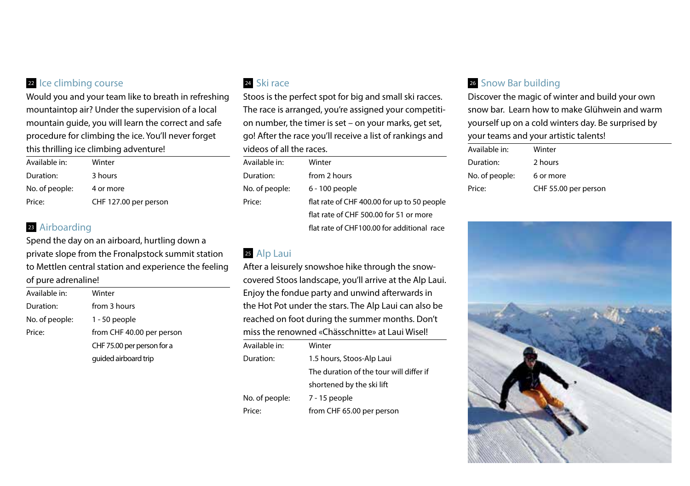#### 22 Ice climbing course

Would you and your team like to breath in refreshing mountaintop air? Under the supervision of a local mountain guide, you will learn the correct and safe procedure for climbing the ice. You'll never forget this thrilling ice climbing adventure!

| Available in:  | Winter                |
|----------------|-----------------------|
| Duration:      | 3 hours               |
| No. of people: | 4 or more             |
| Price:         | CHF 127.00 per person |

#### <sup>23</sup> Airboarding

Spend the day on an airboard, hurtling down a private slope from the Fronalpstock summit station to Mettlen central station and experience the feeling of pure adrenaline!

| Available in:  | Winter                     |
|----------------|----------------------------|
| Duration:      | from 3 hours               |
| No. of people: | 1 - 50 people              |
| Price:         | from CHF 40.00 per person  |
|                | CHF 75.00 per person for a |
|                | quided airboard trip       |

#### <sup>24</sup> Ski race

Stoos is the perfect spot for big and small ski racces. The race is arranged, you're assigned your competition number, the timer is set – on your marks, get set, go! After the race you'll receive a list of rankings and videos of all the races.

| Available in:  | Winter                                      |
|----------------|---------------------------------------------|
| Duration:      | from 2 hours                                |
| No. of people: | 6 - 100 people                              |
| Price:         | flat rate of CHF 400.00 for up to 50 people |
|                | flat rate of CHF 500.00 for 51 or more      |
|                | flat rate of CHF100.00 for additional race  |

#### <sup>25</sup> Alp Laui

After a leisurely snowshoe hike through the snowcovered Stoos landscape, you'll arrive at the Alp Laui. Enjoy the fondue party and unwind afterwards in the Hot Pot under the stars. The Alp Laui can also be reached on foot during the summer months. Don't miss the renowned «Chässchnitte» at Laui Wisel!

| Winter                                  |
|-----------------------------------------|
| 1.5 hours, Stoos-Alp Laui               |
| The duration of the tour will differ if |
| shortened by the ski lift               |
| 7 - 15 people                           |
| from CHF 65.00 per person               |
|                                         |

### <sup>26</sup> Snow Bar building

Discover the magic of winter and build your own snow bar. Learn how to make Glühwein and warm yourself up on a cold winters day. Be surprised by your teams and your artistic talents!

| Available in:  | Winter               |
|----------------|----------------------|
| Duration:      | 2 hours              |
| No. of people: | 6 or more            |
| Price:         | CHF 55.00 per person |

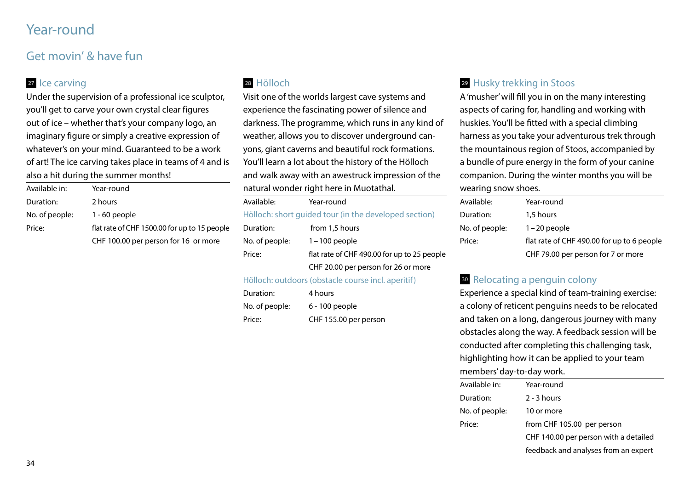## Year-round

### Get movin' & have fun

#### 27 Ice carving

Under the supervision of a professional ice sculptor, you'll get to carve your own crystal clear figures out of ice – whether that's your company logo, an imaginary figure or simply a creative expression of whatever's on your mind. Guaranteed to be a work of art! The ice carving takes place in teams of 4 and is also a hit during the summer months!

| Available in:  | Year-round                                   |
|----------------|----------------------------------------------|
| Duration:      | 2 hours                                      |
| No. of people: | $1 - 60$ people                              |
| Price:         | flat rate of CHF 1500.00 for up to 15 people |
|                | CHF 100.00 per person for 16 or more         |

#### <sup>28</sup> Hölloch

Visit one of the worlds largest cave systems and experience the fascinating power of silence and darkness. The programme, which runs in any kind of weather, allows you to discover underground canyons, giant caverns and beautiful rock formations. You'll learn a lot about the history of the Hölloch and walk away with an awestruck impression of the natural wonder right here in Muotathal.

| Available:                                            | Year-round                                  |
|-------------------------------------------------------|---------------------------------------------|
| Hölloch: short quided tour (in the developed section) |                                             |
| Duration:                                             | from 1,5 hours                              |
| No. of people:                                        | $1 - 100$ people                            |
| Price:                                                | flat rate of CHF 490.00 for up to 25 people |
|                                                       | CHF 20.00 per person for 26 or more         |
|                                                       |                                             |

#### Hölloch: outdoors (obstacle course incl. aperitif)

| Duration:      | 4 hours               |
|----------------|-----------------------|
| No. of people: | 6 - 100 people        |
| Price:         | CHF 155.00 per person |

#### <sup>29</sup> Husky trekking in Stoos

A 'musher' will fill you in on the many interesting aspects of caring for, handling and working with huskies. You'll be fitted with a special climbing harness as you take your adventurous trek through the mountainous region of Stoos, accompanied by a bundle of pure energy in the form of your canine companion. During the winter months you will be wearing snow shoes.

| Available:     | Year-round                                 |
|----------------|--------------------------------------------|
| Duration:      | 1,5 hours                                  |
| No. of people: | $1 - 20$ people                            |
| Price:         | flat rate of CHF 490.00 for up to 6 people |
|                | CHF 79.00 per person for 7 or more         |

#### <sup>30</sup> Relocating a penguin colony

Experience a special kind of team-training exercise: a colony of reticent penguins needs to be relocated and taken on a long, dangerous journey with many obstacles along the way. A feedback session will be conducted after completing this challenging task, highlighting how it can be applied to your team members' day-to-day work.

| Available in:  | Year-round                            |
|----------------|---------------------------------------|
| Duration:      | $2 - 3$ hours                         |
| No. of people: | 10 or more                            |
| Price:         | from CHF 105.00 per person            |
|                | CHF 140.00 per person with a detailed |
|                | feedback and analyses from an expert  |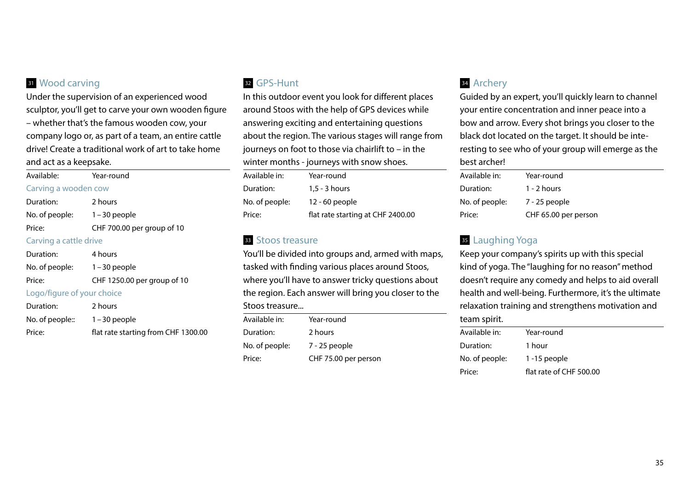#### **31** Wood carving

Under the supervision of an experienced wood sculptor, you'll get to carve your own wooden figure – whether that's the famous wooden cow, your company logo or, as part of a team, an entire cattle drive! Create a traditional work of art to take home and act as a keepsake.

| Available: Year-round        |                             |  |
|------------------------------|-----------------------------|--|
| Carving a wooden cow         |                             |  |
| Duration:                    | 2 hours                     |  |
| No. of people: 1 – 30 people |                             |  |
| Price:                       | CHF 700.00 per group of 10  |  |
| Carving a cattle drive       |                             |  |
| Duration:                    | 4 hours                     |  |
| No. of people: 1 - 30 people |                             |  |
| Price:                       | CHF 1250.00 per group of 10 |  |
| Logo/figure of your choice   |                             |  |
| Duration:                    | 2 hours                     |  |
| .                            |                             |  |

#### No. of people: 1 – 30 people Price: flat rate starting from CHF 1300.00

#### <sup>32</sup> GPS-Hunt

In this outdoor event you look for different places around Stoos with the help of GPS devices while answering exciting and entertaining questions about the region. The various stages will range from journeys on foot to those via chairlift to – in the winter months - journeys with snow shoes.

| Available in:  | Year-round                        |
|----------------|-----------------------------------|
| Duration:      | $1,5 - 3$ hours                   |
| No. of people: | 12 - 60 people                    |
| Price:         | flat rate starting at CHF 2400.00 |

#### **33** Stoos treasure

You'll be divided into groups and, armed with maps, tasked with finding various places around Stoos, where you'll have to answer tricky questions about the region. Each answer will bring you closer to the

#### Stoos treasure...

| Available in:  | Year-round           |
|----------------|----------------------|
| Duration:      | 2 hours              |
| No. of people: | 7 - 25 people        |
| Price:         | CHF 75.00 per person |

#### <sup>34</sup> Archery

Guided by an expert, you'll quickly learn to channel your entire concentration and inner peace into a bow and arrow. Every shot brings you closer to the black dot located on the target. It should be interesting to see who of your group will emerge as the best archer!

| Available in:  | Year-round           |
|----------------|----------------------|
| Duration:      | $1 - 2$ hours        |
| No. of people: | 7 - 25 people        |
| Price:         | CHF 65.00 per person |

#### 35 Laughing Yoga

Keep your company's spirits up with this special kind of yoga. The "laughing for no reason" method doesn't require any comedy and helps to aid overall health and well-being. Furthermore, it's the ultimate relaxation training and strengthens motivation and team spirit.

| Year-round              |  |
|-------------------------|--|
| 1 hour                  |  |
| $1 - 15$ people         |  |
| flat rate of CHF 500.00 |  |
|                         |  |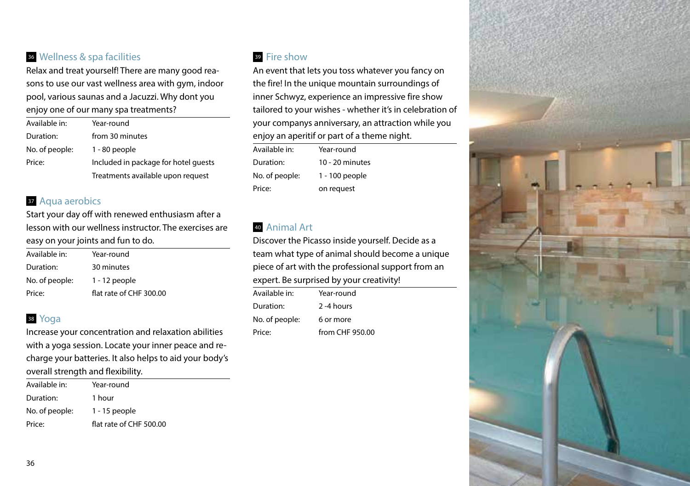#### <sup>36</sup> Wellness & spa facilities

Relax and treat yourself! There are many good reasons to use our vast wellness area with gym, indoor pool, various saunas and a Jacuzzi. Why dont you enjoy one of our many spa treatments?

| Available in:  | Year-round                           |
|----------------|--------------------------------------|
| Duration:      | from 30 minutes                      |
| No. of people: | $1 - 80$ people                      |
| Price:         | Included in package for hotel quests |
|                | Treatments available upon request    |

#### **37 Aqua aerobics**

Start your day off with renewed enthusiasm after a lesson with our wellness instructor. The exercises are easy on your joints and fun to do.

| Available in:  | Year-round              |
|----------------|-------------------------|
| Duration:      | 30 minutes              |
| No. of people: | $1 - 12$ people         |
| Price:         | flat rate of CHF 300.00 |

### <sup>38</sup> Yoga

Increase your concentration and relaxation abilities with a yoga session. Locate your inner peace and recharge your batteries. It also helps to aid your body's overall strength and flexibility.

| Available in:  | Year-round              |
|----------------|-------------------------|
| Duration:      | 1 hour                  |
| No. of people: | $1 - 15$ people         |
| Price:         | flat rate of CHF 500.00 |

#### <sup>39</sup> Fire show

An event that lets you toss whatever you fancy on the fire! In the unique mountain surroundings of inner Schwyz, experience an impressive fire show tailored to your wishes - whether it's in celebration of your companys anniversary, an attraction while you enjoy an aperitif or part of a theme night.

| Available in:  | Year-round      |
|----------------|-----------------|
| Duration:      | 10 - 20 minutes |
| No. of people: | 1 - 100 people  |
| Price:         | on request      |

#### <sup>40</sup> Animal Art

Discover the Picasso inside yourself. Decide as a team what type of animal should become a unique piece of art with the professional support from an expert. Be surprised by your creativity!

| Available in:  | Year-round      |
|----------------|-----------------|
| Duration:      | 2-4 hours       |
| No. of people: | 6 or more       |
| Price:         | from CHF 950.00 |

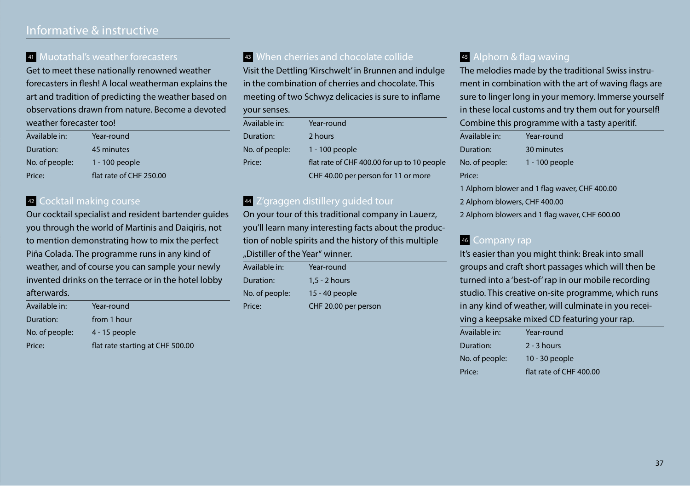### Informative & instructive

#### <sup>41</sup> Muotathal's weather forecasters

Get to meet these nationally renowned weather forecasters in flesh! A local weatherman explains the art and tradition of predicting the weather based on observations drawn from nature. Become a devoted weather forecaster too!

| Available in:  | Year-round              |
|----------------|-------------------------|
| Duration:      | 45 minutes              |
| No. of people: | 1 - 100 people          |
| Price:         | flat rate of CHF 250.00 |

#### 42 Cocktail making course

Our cocktail specialist and resident bartender guides you through the world of Martinis and Daiqiris, not to mention demonstrating how to mix the perfect Piña Colada. The programme runs in any kind of weather, and of course you can sample your newly invented drinks on the terrace or in the hotel lobby afterwards.

| Available in:  | Year-round                       |
|----------------|----------------------------------|
| Duration:      | from 1 hour                      |
| No. of people: | $4 - 15$ people                  |
| Price:         | flat rate starting at CHF 500.00 |

### **43** When cherries and chocolate collide

Visit the Dettling 'Kirschwelt' in Brunnen and indulge in the combination of cherries and chocolate. This meeting of two Schwyz delicacies is sure to inflame your senses.

| Available in:  | Year-round                                  |
|----------------|---------------------------------------------|
| Duration:      | 2 hours                                     |
| No. of people: | 1 - 100 people                              |
| Price:         | flat rate of CHF 400.00 for up to 10 people |
|                | CHF 40.00 per person for 11 or more         |

#### 44 Z'graggen distillery guided tour

On your tour of this traditional company in Lauerz, you'll learn many interesting facts about the production of noble spirits and the history of this multiple "Distiller of the Year" winner.

| Available in:  | Year-round           |
|----------------|----------------------|
| Duration:      | $1.5 - 2$ hours      |
| No. of people: | 15 - 40 people       |
| Price:         | CHF 20.00 per person |

#### <sup>45</sup> Alphorn & flag waving

The melodies made by the traditional Swiss instrument in combination with the art of waving flags are sure to linger long in your memory. Immerse yourself in these local customs and try them out for yourself! Combine this programme with a tasty aperitif.

| Year-round                                    |  |
|-----------------------------------------------|--|
| 30 minutes                                    |  |
| 1 - 100 people                                |  |
|                                               |  |
| 1 Alphorn blower and 1 flag waver, CHF 400.00 |  |
| 2 Alphorn blowers, CHF 400.00                 |  |
|                                               |  |

2 Alphorn blowers and 1 flag waver, CHF 600.00

#### <sup>46</sup> Company rap

It's easier than you might think: Break into small groups and craft short passages which will then be turned into a 'best-of' rap in our mobile recording studio. This creative on-site programme, which runs in any kind of weather, will culminate in you receiving a keepsake mixed CD featuring your rap.

| Available in:  | Year-round              |
|----------------|-------------------------|
| Duration:      | $2 - 3$ hours           |
| No. of people: | 10 - 30 people          |
| Price:         | flat rate of CHF 400.00 |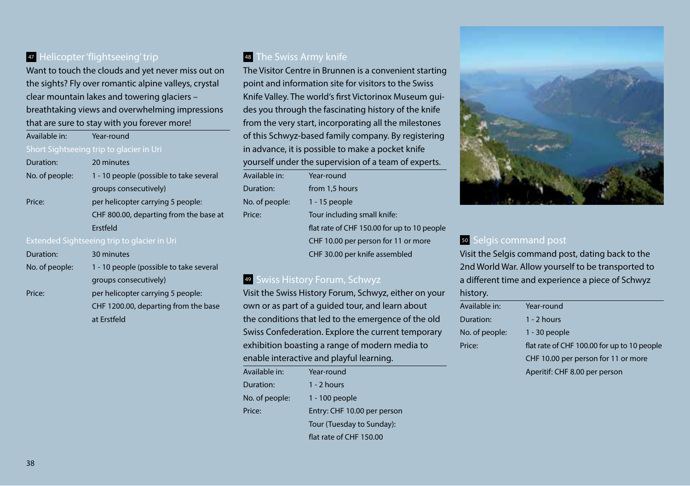#### **47 Helicopter 'flightseeing' trip**

Want to touch the clouds and yet never miss out on the sights? Fly over romantic alpine valleys, crystal clear mountain lakes and towering glaciers – breathtaking views and overwhelming impressions that are sure to stay with you forever more!

| Available in:  | Year-round                               |
|----------------|------------------------------------------|
|                | Short Sightseeing trip to glacier in Uri |
| Duration:      | 20 minutes                               |
| No. of people: | 1 - 10 people (possible to take several  |
|                | groups consecutively)                    |
| Price:         | per helicopter carrying 5 people:        |
|                | CHF 800.00, departing from the base at   |
|                | <b>Frstfeld</b>                          |
|                |                                          |

| Duration:      | 30 minutes                              |
|----------------|-----------------------------------------|
| No. of people: | 1 - 10 people (possible to take several |
|                | groups consecutively)                   |
| Price:         | per helicopter carrying 5 people:       |
|                | CHF 1200.00, departing from the base    |
|                | at Erstfeld                             |

#### **48** The Swiss Army knife

The Visitor Centre in Brunnen is a convenient starting point and information site for visitors to the Swiss Knife Valley. The world's first Victorinox Museum guides you through the fascinating history of the knife from the very start, incorporating all the milestones of this Schwyz-based family company. By registering in advance, it is possible to make a pocket knife yourself under the supervision of a team of experts.

| Available in:  | Year-round                                  |
|----------------|---------------------------------------------|
| Duration:      | from 1,5 hours                              |
| No. of people: | $1 - 15$ people                             |
| Price:         | Tour including small knife:                 |
|                | flat rate of CHF 150.00 for up to 10 people |
|                | CHF 10.00 per person for 11 or more         |
|                | CHF 30.00 per knife assembled               |

#### <sup>49</sup> Swiss History Forum, Schwyz

Visit the Swiss History Forum, Schwyz, either on your own or as part of a guided tour, and learn about the conditions that led to the emergence of the old Swiss Confederation. Explore the current temporary exhibition boasting a range of modern media to enable interactive and playful learning.

| Available in:  | Year-round                  |
|----------------|-----------------------------|
| Duration:      | $1 - 2$ hours               |
| No. of people: | 1 - 100 people              |
| Price:         | Entry: CHF 10.00 per person |
|                | Tour (Tuesday to Sunday):   |
|                | flat rate of CHF 150.00     |



#### <sup>50</sup> Selgis command post

Visit the Selgis command post, dating back to the 2nd World War. Allow yourself to be transported to a different time and experience a piece of Schwyz history.

| Available in:  | Year-round                                  |
|----------------|---------------------------------------------|
| Duration:      | $1 - 2$ hours                               |
| No. of people: | $1 - 30$ people                             |
| Price:         | flat rate of CHF 100.00 for up to 10 people |
|                | CHF 10.00 per person for 11 or more         |
|                | Aperitif: CHF 8.00 per person               |